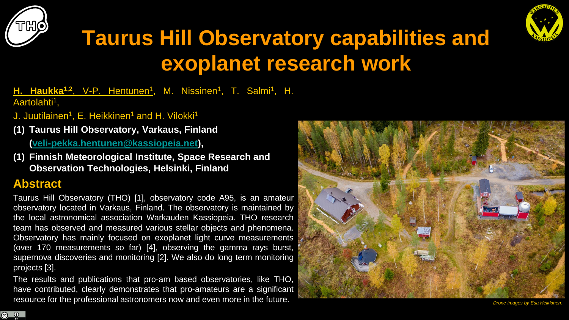



## **Taurus Hill Observatory capabilities and exoplanet research work**

**H. Haukka<sup>1,2</sup>, V-P. Hentunen<sup>1</sup>, M. Nissinen<sup>1</sup>, T. Salmi<sup>1</sup>, H.** Aartolahti<sup>1</sup>,

- J. Juutilainen<sup>1</sup>, E. Heikkinen<sup>1</sup> and H. Vilokki<sup>1</sup>
- **(1) Taurus Hill Observatory, Varkaus, Finland ([veli-pekka.hentunen@kassiopeia.net\)](mailto:veli-pekka.hentunen@kassiopeia.net),**
- **(1) Finnish Meteorological Institute, Space Research and Observation Technologies, Helsinki, Finland**

### **Abstract**

**ெ** 

Taurus Hill Observatory (THO) [1], observatory code A95, is an amateur observatory located in Varkaus, Finland. The observatory is maintained by the local astronomical association Warkauden Kassiopeia. THO research team has observed and measured various stellar objects and phenomena. Observatory has mainly focused on exoplanet light curve measurements (over 170 measurements so far) [4], observing the gamma rays burst, supernova discoveries and monitoring [2]. We also do long term monitoring projects [3].

The results and publications that pro-am based observatories, like THO, have contributed, clearly demonstrates that pro-amateurs are a significant resource for the professional astronomers now and even more in the future.

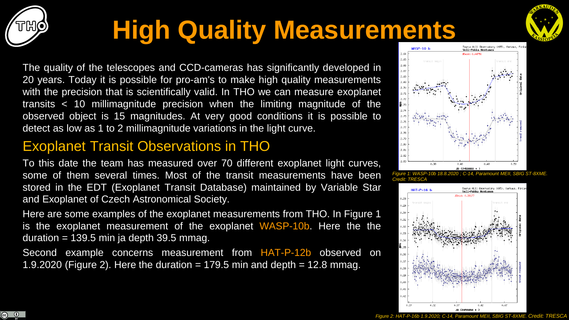

# **High Quality Measurements**



The quality of the telescopes and CCD-cameras has significantly developed in 20 years. Today it is possible for pro-am's to make high quality measurements with the precision that is scientifically valid. In THO we can measure exoplanet transits < 10 millimagnitude precision when the limiting magnitude of the observed object is 15 magnitudes. At very good conditions it is possible to detect as low as 1 to 2 millimagnitude variations in the light curve.

## Exoplanet Transit Observations in THO

To this date the team has measured over 70 different exoplanet light curves, some of them several times. Most of the transit measurements have been stored in the EDT (Exoplanet Transit Database) maintained by Variable Star and Exoplanet of Czech Astronomical Society.

Here are some examples of the exoplanet measurements from THO. In Figure 1 is the exoplanet measurement of the exoplanet WASP-10b. Here the the duration = 139.5 min ja depth 39.5 mmag.

Second example concerns measurement from HAT-P-12b observed on 1.9.2020 (Figure 2). Here the duration  $= 179.5$  min and depth  $= 12.8$  mmag.





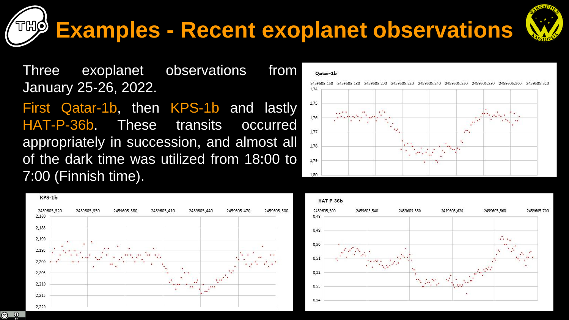KPS-1b

2459605 320

2,180

2,185

2,190

2,195

2.200 2,205

2,210

2,215

2,220

2459605,350

2459605.380

## **Examples - Recent exoplanet observations**

2459605.500

Three exoplanet observations from January 25-26, 2022.

First Qatar-1b, then KPS-1b and lastly HAT-P-36b. These transits occurred appropriately in succession, and almost all of the dark time was utilized from 18:00 to 7:00 (Finnish time).

2459605,410

2459605,440

2459605.470

#### 2459605 160 2459605.180 2459605.200 2459605.220 2459605.240 2459605.260 2459605.280 1.75 1,76 1,77 1.78 1,79 1.80





#### Oatar-1b

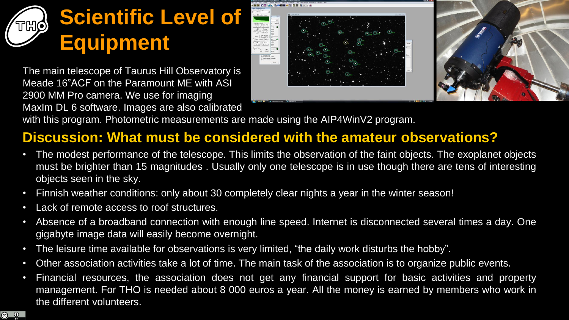## **Scientific Level of Equipment**

The main telescope of Taurus Hill Observatory is Meade 16"ACF on the Paramount ME with ASI 2900 MM Pro camera. We use for imaging MaxIm DL 6 software. Images are also calibrated



with this program. Photometric measurements are made using the AIP4WinV2 program.

## **Discussion: What must be considered with the amateur observations?**

- The modest performance of the telescope. This limits the observation of the faint objects. The exoplanet objects must be brighter than 15 magnitudes . Usually only one telescope is in use though there are tens of interesting objects seen in the sky.
- Finnish weather conditions: only about 30 completely clear nights a year in the winter season!
- Lack of remote access to roof structures.
- Absence of a broadband connection with enough line speed. Internet is disconnected several times a day. One gigabyte image data will easily become overnight.
- The leisure time available for observations is very limited, "the daily work disturbs the hobby".
- Other association activities take a lot of time. The main task of the association is to organize public events.
- Financial resources, the association does not get any financial support for basic activities and property management. For THO is needed about 8 000 euros a year. All the money is earned by members who work in the different volunteers.

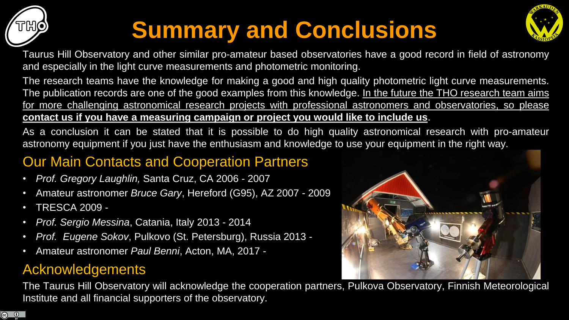

<u>ේ</u>

# **Summary and Conclusions**



Taurus Hill Observatory and other similar pro-amateur based observatories have a good record in field of astronomy and especially in the light curve measurements and photometric monitoring.

The research teams have the knowledge for making a good and high quality photometric light curve measurements. The publication records are one of the good examples from this knowledge. In the future the THO research team aims for more challenging astronomical research projects with professional astronomers and observatories, so please **contact us if you have a measuring campaign or project you would like to include us**.

As a conclusion it can be stated that it is possible to do high quality astronomical research with pro-amateur astronomy equipment if you just have the enthusiasm and knowledge to use your equipment in the right way.

## **Our Main Contacts and Cooperation Partners**

- *Prof. Gregory Laughlin,* Santa Cruz, CA 2006 2007
- Amateur astronomer *Bruce Gary*, Hereford (G95), AZ 2007 2009
- TRESCA 2009 -
- *Prof. Sergio Messina*, Catania, Italy 2013 2014
- *Prof. Eugene Sokov*, Pulkovo (St. Petersburg), Russia 2013 -
- Amateur astronomer *Paul Benni*, Acton, MA, 2017 -

### Acknowledgements

The Taurus Hill Observatory will acknowledge the cooperation partners, Pulkova Observatory, Finnish Meteorological Institute and all financial supporters of the observatory.